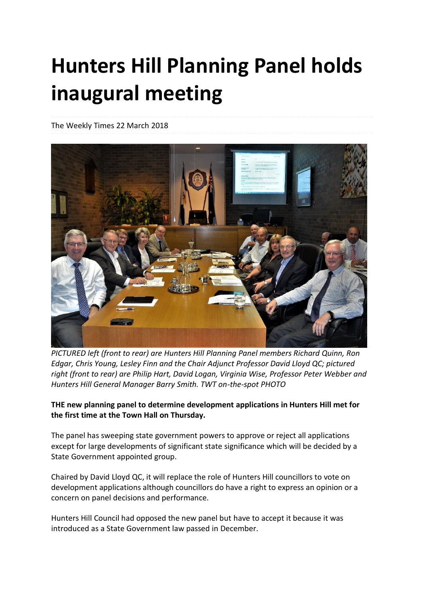## **Hunters Hill Planning Panel holds inaugural meeting**

The Weekly Times 22 March 2018



*PICTURED left (front to rear) are Hunters Hill Planning Panel members Richard Quinn, Ron Edgar, Chris Young, Lesley Finn and the Chair Adjunct Professor David Lloyd QC; pictured right (front to rear) are Philip Hart, David Logan, Virginia Wise, Professor Peter Webber and Hunters Hill General Manager Barry Smith. TWT on-the-spot PHOTO*

**THE new planning panel to determine development applications in Hunters Hill met for the first time at the Town Hall on Thursday.**

The panel has sweeping state government powers to approve or reject all applications except for large developments of significant state significance which will be decided by a State Government appointed group.

Chaired by David Lloyd QC, it will replace the role of Hunters Hill councillors to vote on development applications although councillors do have a right to express an opinion or a concern on panel decisions and performance.

Hunters Hill Council had opposed the new panel but have to accept it because it was introduced as a State Government law passed in December.